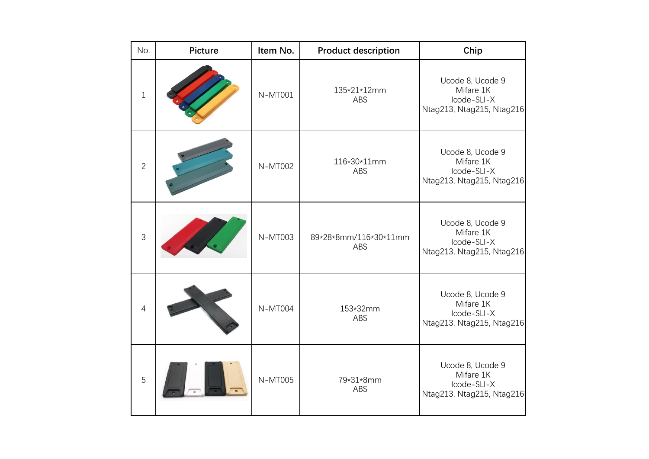| No.            | <b>Picture</b> | Item No.       | <b>Product description</b>   | Chip                                                                      |
|----------------|----------------|----------------|------------------------------|---------------------------------------------------------------------------|
| $\mathbf 1$    |                | N-MT001        | 135*21*12mm<br>ABS           | Ucode 8, Ucode 9<br>Mifare 1K<br>Icode-SLI-X<br>Ntag213, Ntag215, Ntag216 |
| $\overline{2}$ |                | N-MT002        | 116*30*11mm<br>ABS           | Ucode 8, Ucode 9<br>Mifare 1K<br>Icode-SLI-X<br>Ntag213, Ntag215, Ntag216 |
| $\mathfrak{S}$ |                | <b>N-MT003</b> | 89*28*8mm/116*30*11mm<br>ABS | Ucode 8, Ucode 9<br>Mifare 1K<br>Icode-SLI-X<br>Ntag213, Ntag215, Ntag216 |
| 4              |                | <b>N-MT004</b> | 153*32mm<br>ABS              | Ucode 8, Ucode 9<br>Mifare 1K<br>Icode-SLI-X<br>Ntag213, Ntag215, Ntag216 |
| 5              |                | N-MT005        | 79*31*8mm<br>ABS             | Ucode 8, Ucode 9<br>Mifare 1K<br>Icode-SLI-X<br>Ntag213, Ntag215, Ntag216 |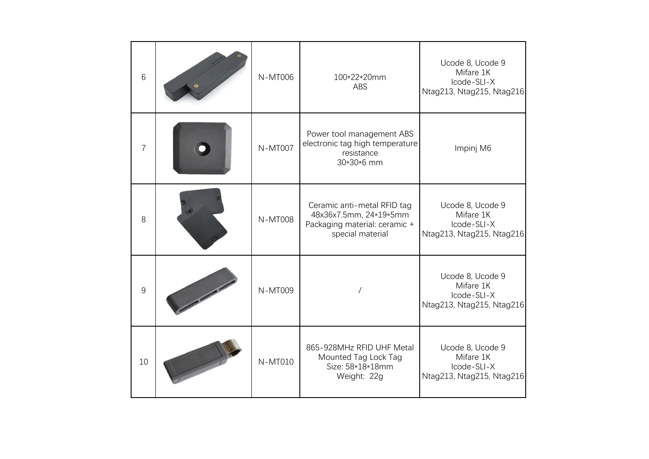| 6              | N-MT006        | 100*22*20mm<br>ABS                                                                                         | Ucode 8, Ucode 9<br>Mifare 1K<br>Icode-SLI-X<br>Ntag213, Ntag215, Ntag216 |
|----------------|----------------|------------------------------------------------------------------------------------------------------------|---------------------------------------------------------------------------|
| $\overline{7}$ | <b>N-MT007</b> | Power tool management ABS<br>electronic tag high temperature<br>resistance<br>30*30*6 mm                   | Impinj M6                                                                 |
| 8              | <b>N-MT008</b> | Ceramic anti-metal RFID tag<br>48x36x7.5mm, 24*19*5mm<br>Packaging material: ceramic +<br>special material | Ucode 8, Ucode 9<br>Mifare 1K<br>Icode-SLI-X<br>Ntag213, Ntag215, Ntag216 |
| 9              | N-MT009        |                                                                                                            | Ucode 8, Ucode 9<br>Mifare 1K<br>Icode-SLI-X<br>Ntag213, Ntag215, Ntag216 |
| 10             | N-MT010        | 865-928MHz RFID UHF Metal<br>Mounted Tag Lock Tag<br>Size: 58*18*18mm<br>Weight: 22g                       | Ucode 8, Ucode 9<br>Mifare 1K<br>Icode-SLI-X<br>Ntag213, Ntag215, Ntag216 |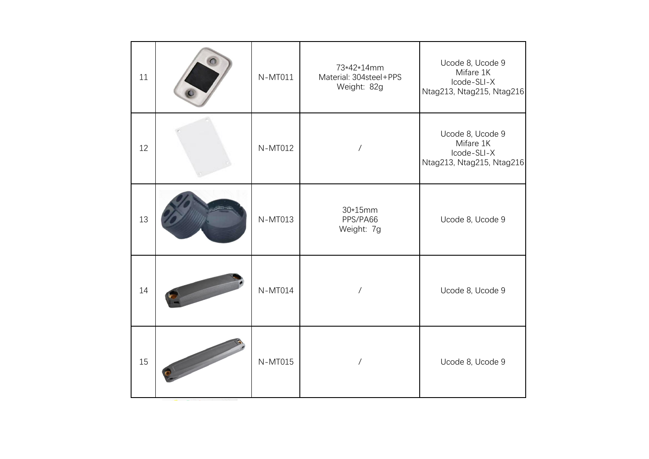| 11 | $\blacksquare$ | N-MT011 | 73*42*14mm<br>Material: 304steel+PPS<br>Weight: 82g | Ucode 8, Ucode 9<br>Mifare 1K<br>Icode-SLI-X<br>Ntag213, Ntag215, Ntag216 |
|----|----------------|---------|-----------------------------------------------------|---------------------------------------------------------------------------|
| 12 |                | N-MT012 |                                                     | Ucode 8, Ucode 9<br>Mifare 1K<br>Icode-SLI-X<br>Ntag213, Ntag215, Ntag216 |
| 13 |                | N-MT013 | $30*15mm$<br>PPS/PA66<br>Weight: 7g                 | Ucode 8, Ucode 9                                                          |
| 14 |                | N-MT014 | $\sqrt{2}$                                          | Ucode 8, Ucode 9                                                          |
| 15 |                | N-MT015 | $\sqrt{2}$                                          | Ucode 8, Ucode 9                                                          |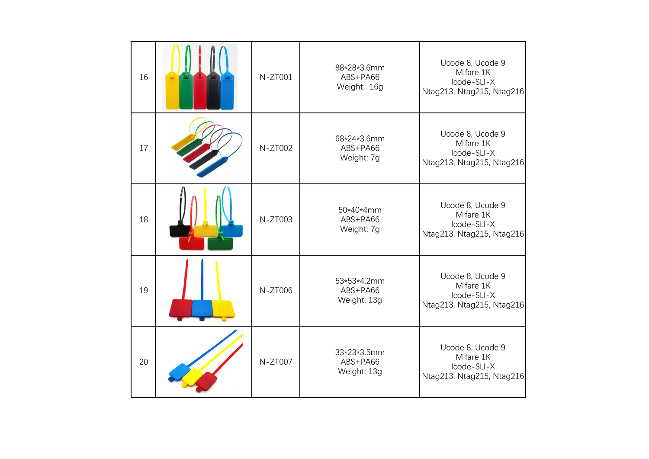| 16 | N-ZT001 | 88*28*3.6mm<br>ABS+PA66<br>Weight: 16g | Ucode 8, Ucode 9<br>Mifare 1K<br>Icode-SLI-X<br>Ntag213, Ntag215, Ntag216 |
|----|---------|----------------------------------------|---------------------------------------------------------------------------|
| 17 | N-ZT002 | 68*24*3.6mm<br>ABS+PA66<br>Weight: 7g  | Ucode 8, Ucode 9<br>Mifare 1K<br>Icode-SLI-X<br>Ntag213, Ntag215, Ntag216 |
| 18 | N-ZT003 | 50*40*4mm<br>ABS+PA66<br>Weight: 7g    | Ucode 8, Ucode 9<br>Mifare 1K<br>Icode-SLI-X<br>Ntag213, Ntag215, Ntag216 |
| 19 | N-ZT006 | 53*53*4.2mm<br>ABS+PA66<br>Weight: 13g | Ucode 8, Ucode 9<br>Mifare 1K<br>Icode-SLI-X<br>Ntag213, Ntag215, Ntag216 |
| 20 | N-ZT007 | 33*23*3.5mm<br>ABS+PA66<br>Weight: 13g | Ucode 8, Ucode 9<br>Mifare 1K<br>Icode-SLI-X<br>Ntag213, Ntag215, Ntag216 |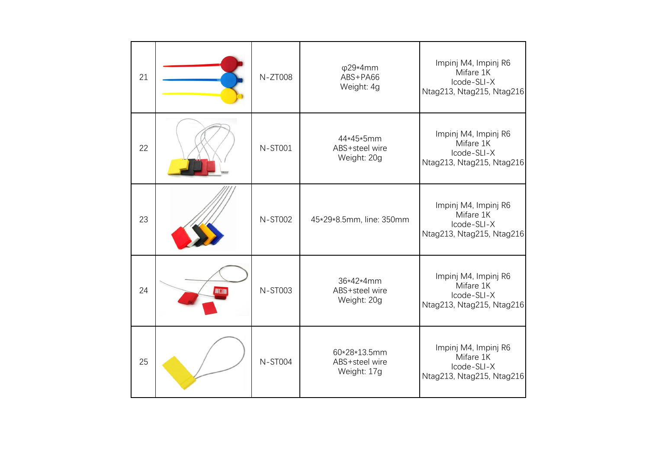| 21 |               | N-ZT008        | $\varphi$ 29*4mm<br>ABS+PA66<br>Weight: 4g    | Impinj M4, Impinj R6<br>Mifare 1K<br>Icode-SLI-X<br>Ntag213, Ntag215, Ntag216 |
|----|---------------|----------------|-----------------------------------------------|-------------------------------------------------------------------------------|
| 22 |               | <b>N-ST001</b> | 44*45*5mm<br>ABS+steel wire<br>Weight: 20g    | Impinj M4, Impinj R6<br>Mifare 1K<br>Icode-SLI-X<br>Ntag213, Ntag215, Ntag216 |
| 23 |               | <b>N-ST002</b> | 45*29*8.5mm, line: 350mm                      | Impinj M4, Impinj R6<br>Mifare 1K<br>Icode-SLI-X<br>Ntag213, Ntag215, Ntag216 |
| 24 | <b>NIERIN</b> | <b>N-ST003</b> | 36*42*4mm<br>ABS+steel wire<br>Weight: 20g    | Impinj M4, Impinj R6<br>Mifare 1K<br>Icode-SLI-X<br>Ntag213, Ntag215, Ntag216 |
| 25 |               | <b>N-ST004</b> | 60*28*13.5mm<br>ABS+steel wire<br>Weight: 17g | Impinj M4, Impinj R6<br>Mifare 1K<br>Icode-SLI-X<br>Ntag213, Ntag215, Ntag216 |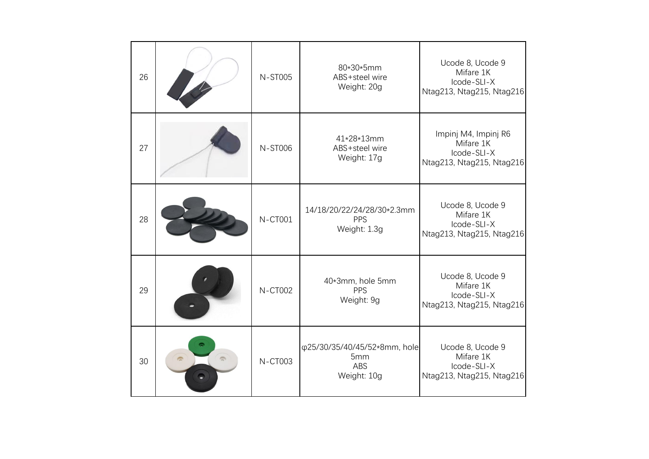| 26 | N-ST005        | 80*30*5mm<br>ABS+steel wire<br>Weight: 20g                | Ucode 8, Ucode 9<br>Mifare 1K<br>Icode-SLI-X<br>Ntag213, Ntag215, Ntag216     |
|----|----------------|-----------------------------------------------------------|-------------------------------------------------------------------------------|
| 27 | <b>N-ST006</b> | 41*28*13mm<br>ABS+steel wire<br>Weight: 17g               | Impinj M4, Impinj R6<br>Mifare 1K<br>Icode-SLI-X<br>Ntag213, Ntag215, Ntag216 |
| 28 | <b>N-CT001</b> | 14/18/20/22/24/28/30*2.3mm<br>PPS<br>Weight: 1.3g         | Ucode 8, Ucode 9<br>Mifare 1K<br>Icode-SLI-X<br>Ntag213, Ntag215, Ntag216     |
| 29 | <b>N-CT002</b> | 40*3mm, hole 5mm<br>PPS<br>Weight: 9g                     | Ucode 8, Ucode 9<br>Mifare 1K<br>Icode-SLI-X<br>Ntag213, Ntag215, Ntag216     |
| 30 | <b>N-CT003</b> | φ25/30/35/40/45/52*8mm, hole<br>5mm<br>ABS<br>Weight: 10g | Ucode 8, Ucode 9<br>Mifare 1K<br>Icode-SLI-X<br>Ntag213, Ntag215, Ntag216     |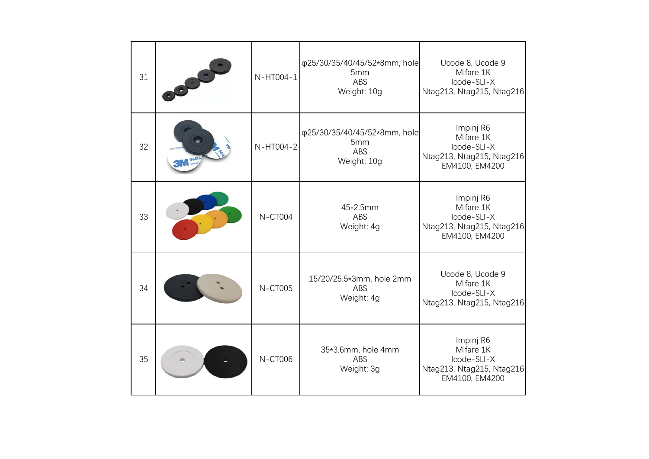| 31 |       | N-HT004-1      | φ25/30/35/40/45/52*8mm, hole<br>5mm<br>ABS<br>Weight: 10g        | Ucode 8, Ucode 9<br>Mifare 1K<br>Icode-SLI-X<br>Ntag213, Ntag215, Ntag216            |
|----|-------|----------------|------------------------------------------------------------------|--------------------------------------------------------------------------------------|
| 32 | 9448A | N-HT004-2      | φ25/30/35/40/45/52*8mm, hole<br>5mm<br><b>ABS</b><br>Weight: 10g | Impinj R6<br>Mifare 1K<br>Icode-SLI-X<br>Ntag213, Ntag215, Ntag216<br>EM4100, EM4200 |
| 33 |       | <b>N-CT004</b> | 45*2.5mm<br>ABS<br>Weight: 4g                                    | Impinj R6<br>Mifare 1K<br>Icode-SLI-X<br>Ntag213, Ntag215, Ntag216<br>EM4100, EM4200 |
| 34 |       | <b>N-CT005</b> | 15/20/25.5*3mm, hole 2mm<br>ABS<br>Weight: 4g                    | Ucode 8, Ucode 9<br>Mifare 1K<br>Icode-SLI-X<br>Ntag213, Ntag215, Ntag216            |
| 35 |       | <b>N-CT006</b> | 35*3.6mm, hole 4mm<br>ABS<br>Weight: 3g                          | Impinj R6<br>Mifare 1K<br>Icode-SLI-X<br>Ntag213, Ntag215, Ntag216<br>EM4100, EM4200 |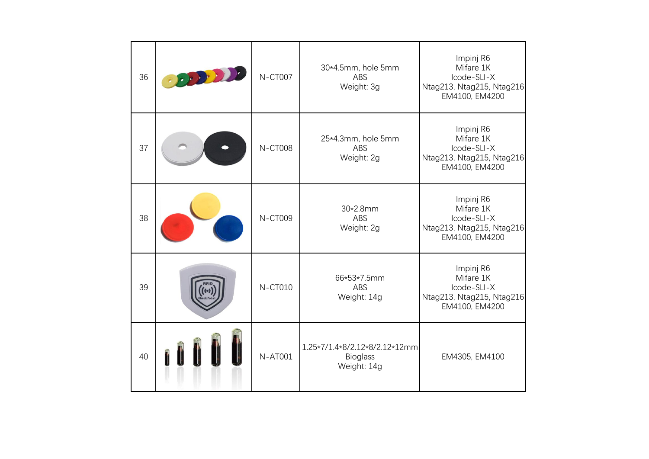| 36 | <b>N-CT007</b> | 30*4.5mm, hole 5mm<br>ABS<br>Weight: 3g                         | Impinj R6<br>Mifare 1K<br>Icode-SLI-X<br>Ntag213, Ntag215, Ntag216<br>EM4100, EM4200 |
|----|----------------|-----------------------------------------------------------------|--------------------------------------------------------------------------------------|
| 37 | <b>N-CT008</b> | 25*4.3mm, hole 5mm<br>ABS<br>Weight: 2g                         | Impinj R6<br>Mifare 1K<br>Icode-SLI-X<br>Ntag213, Ntag215, Ntag216<br>EM4100, EM4200 |
| 38 | <b>N-CT009</b> | 30*2.8mm<br>ABS<br>Weight: 2g                                   | Impinj R6<br>Mifare 1K<br>Icode-SLI-X<br>Ntag213, Ntag215, Ntag216<br>EM4100, EM4200 |
| 39 | <b>N-CT010</b> | 66*53*7.5mm<br><b>ABS</b><br>Weight: 14g                        | Impinj R6<br>Mifare 1K<br>Icode-SLI-X<br>Ntag213, Ntag215, Ntag216<br>EM4100, EM4200 |
| 40 | <b>N-AT001</b> | 1.25*7/1.4*8/2.12*8/2.12*12mm<br><b>Bioglass</b><br>Weight: 14g | EM4305, EM4100                                                                       |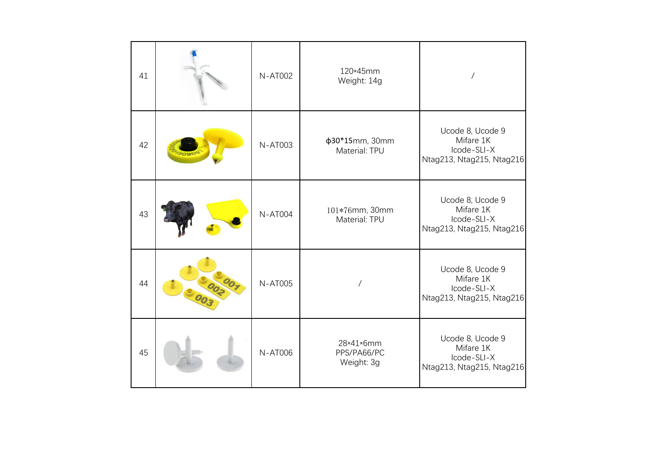| 41 | <b>N-AT002</b> | 120*45mm<br>Weight: 14g                | $\prime$                                                                  |
|----|----------------|----------------------------------------|---------------------------------------------------------------------------|
| 42 | <b>N-AT003</b> | ф30*15mm, 30mm<br>Material: TPU        | Ucode 8, Ucode 9<br>Mifare 1K<br>Icode-SLI-X<br>Ntag213, Ntag215, Ntag216 |
| 43 | <b>N-AT004</b> | 101*76mm, 30mm<br>Material: TPU        | Ucode 8, Ucode 9<br>Mifare 1K<br>Icode-SLI-X<br>Ntag213, Ntag215, Ntag216 |
| 44 | <b>N-AT005</b> |                                        | Ucode 8, Ucode 9<br>Mifare 1K<br>Icode-SLI-X<br>Ntag213, Ntag215, Ntag216 |
| 45 | <b>N-AT006</b> | 28*41*6mm<br>PPS/PA66/PC<br>Weight: 3g | Ucode 8, Ucode 9<br>Mifare 1K<br>Icode-SLI-X<br>Ntag213, Ntag215, Ntag216 |